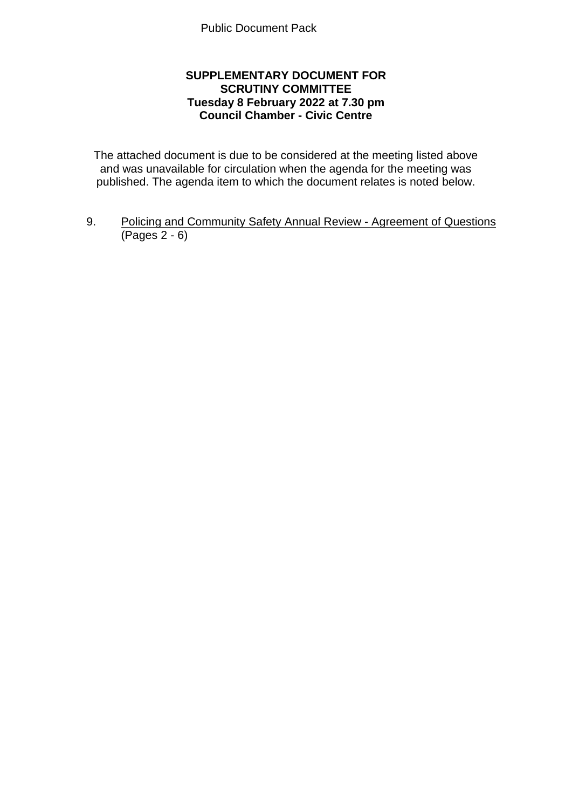## **SUPPLEMENTARY DOCUMENT FOR SCRUTINY COMMITTEE Tuesday 8 February 2022 at 7.30 pm Council Chamber - Civic Centre**

The attached document is due to be considered at the meeting listed above and was unavailable for circulation when the agenda for the meeting was published. The agenda item to which the document relates is noted below.

9. Policing and Community Safety Annual Review - Agreement of Questions (Pages 2 - 6)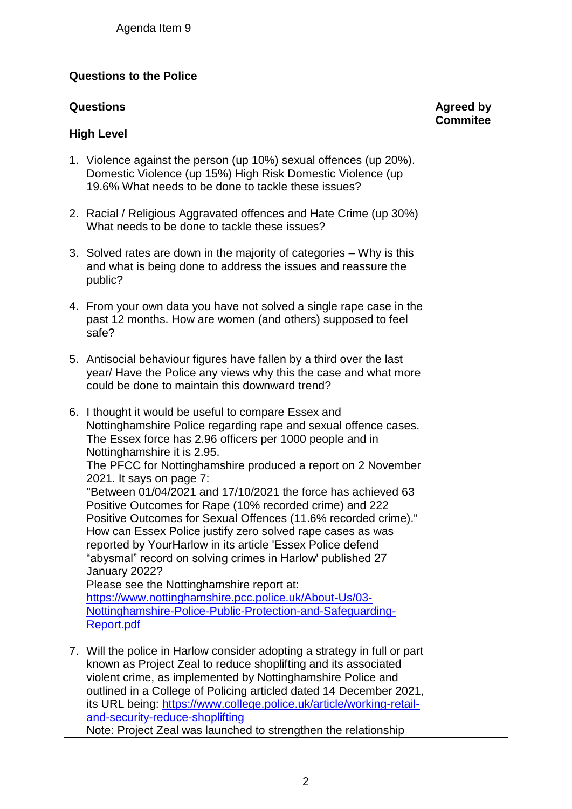## **Questions to the Police**

| <b>Questions</b>  |                                                                                                                                                                                                                                                                                                                                                                                                                                                                                                                                                                                                                                                                                                                                                                                                                                                                                                           | <b>Agreed by</b><br><b>Commitee</b> |  |
|-------------------|-----------------------------------------------------------------------------------------------------------------------------------------------------------------------------------------------------------------------------------------------------------------------------------------------------------------------------------------------------------------------------------------------------------------------------------------------------------------------------------------------------------------------------------------------------------------------------------------------------------------------------------------------------------------------------------------------------------------------------------------------------------------------------------------------------------------------------------------------------------------------------------------------------------|-------------------------------------|--|
| <b>High Level</b> |                                                                                                                                                                                                                                                                                                                                                                                                                                                                                                                                                                                                                                                                                                                                                                                                                                                                                                           |                                     |  |
|                   | 1. Violence against the person (up 10%) sexual offences (up 20%).<br>Domestic Violence (up 15%) High Risk Domestic Violence (up<br>19.6% What needs to be done to tackle these issues?                                                                                                                                                                                                                                                                                                                                                                                                                                                                                                                                                                                                                                                                                                                    |                                     |  |
|                   | 2. Racial / Religious Aggravated offences and Hate Crime (up 30%)<br>What needs to be done to tackle these issues?                                                                                                                                                                                                                                                                                                                                                                                                                                                                                                                                                                                                                                                                                                                                                                                        |                                     |  |
|                   | 3. Solved rates are down in the majority of categories – Why is this<br>and what is being done to address the issues and reassure the<br>public?                                                                                                                                                                                                                                                                                                                                                                                                                                                                                                                                                                                                                                                                                                                                                          |                                     |  |
|                   | 4. From your own data you have not solved a single rape case in the<br>past 12 months. How are women (and others) supposed to feel<br>safe?                                                                                                                                                                                                                                                                                                                                                                                                                                                                                                                                                                                                                                                                                                                                                               |                                     |  |
|                   | 5. Antisocial behaviour figures have fallen by a third over the last<br>year/ Have the Police any views why this the case and what more<br>could be done to maintain this downward trend?                                                                                                                                                                                                                                                                                                                                                                                                                                                                                                                                                                                                                                                                                                                 |                                     |  |
|                   | 6. I thought it would be useful to compare Essex and<br>Nottinghamshire Police regarding rape and sexual offence cases.<br>The Essex force has 2.96 officers per 1000 people and in<br>Nottinghamshire it is 2.95.<br>The PFCC for Nottinghamshire produced a report on 2 November<br>2021. It says on page 7:<br>"Between 01/04/2021 and 17/10/2021 the force has achieved 63<br>Positive Outcomes for Rape (10% recorded crime) and 222<br>Positive Outcomes for Sexual Offences (11.6% recorded crime)."<br>How can Essex Police justify zero solved rape cases as was<br>reported by YourHarlow in its article 'Essex Police defend<br>"abysmal" record on solving crimes in Harlow' published 27<br>January 2022?<br>Please see the Nottinghamshire report at:<br>https://www.nottinghamshire.pcc.police.uk/About-Us/03-<br>Nottinghamshire-Police-Public-Protection-and-Safeguarding-<br>Report.pdf |                                     |  |
|                   | 7. Will the police in Harlow consider adopting a strategy in full or part<br>known as Project Zeal to reduce shoplifting and its associated<br>violent crime, as implemented by Nottinghamshire Police and<br>outlined in a College of Policing articled dated 14 December 2021,<br>its URL being: https://www.college.police.uk/article/working-retail-<br>and-security-reduce-shoplifting<br>Note: Project Zeal was launched to strengthen the relationship                                                                                                                                                                                                                                                                                                                                                                                                                                             |                                     |  |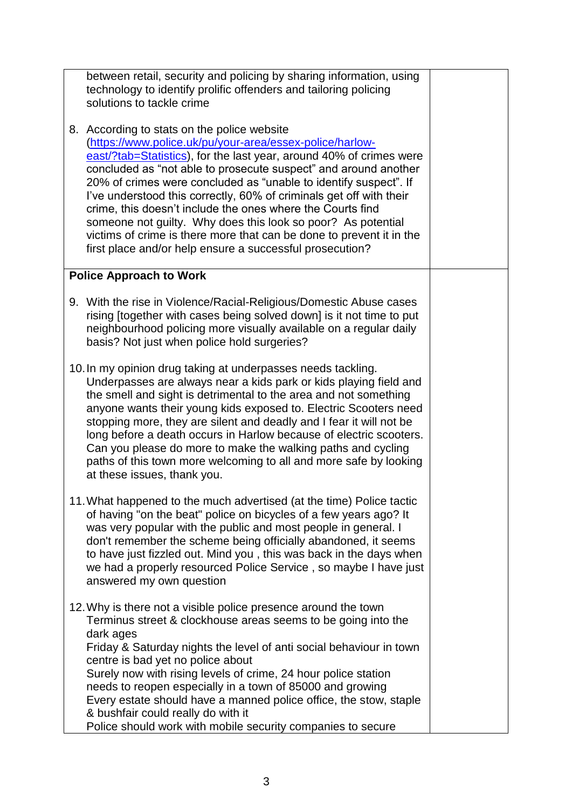| between retail, security and policing by sharing information, using<br>technology to identify prolific offenders and tailoring policing<br>solutions to tackle crime<br>8. According to stats on the police website<br>(https://www.police.uk/pu/your-area/essex-police/harlow-<br>east/?tab=Statistics), for the last year, around 40% of crimes were<br>concluded as "not able to prosecute suspect" and around another<br>20% of crimes were concluded as "unable to identify suspect". If<br>I've understood this correctly, 60% of criminals get off with their<br>crime, this doesn't include the ones where the Courts find<br>someone not guilty. Why does this look so poor? As potential<br>victims of crime is there more that can be done to prevent it in the<br>first place and/or help ensure a successful prosecution? |  |
|----------------------------------------------------------------------------------------------------------------------------------------------------------------------------------------------------------------------------------------------------------------------------------------------------------------------------------------------------------------------------------------------------------------------------------------------------------------------------------------------------------------------------------------------------------------------------------------------------------------------------------------------------------------------------------------------------------------------------------------------------------------------------------------------------------------------------------------|--|
| <b>Police Approach to Work</b>                                                                                                                                                                                                                                                                                                                                                                                                                                                                                                                                                                                                                                                                                                                                                                                                         |  |
| 9. With the rise in Violence/Racial-Religious/Domestic Abuse cases<br>rising [together with cases being solved down] is it not time to put<br>neighbourhood policing more visually available on a regular daily<br>basis? Not just when police hold surgeries?                                                                                                                                                                                                                                                                                                                                                                                                                                                                                                                                                                         |  |
| 10. In my opinion drug taking at underpasses needs tackling.<br>Underpasses are always near a kids park or kids playing field and<br>the smell and sight is detrimental to the area and not something<br>anyone wants their young kids exposed to. Electric Scooters need<br>stopping more, they are silent and deadly and I fear it will not be<br>long before a death occurs in Harlow because of electric scooters.<br>Can you please do more to make the walking paths and cycling<br>paths of this town more welcoming to all and more safe by looking<br>at these issues, thank you.                                                                                                                                                                                                                                             |  |
| 11. What happened to the much advertised (at the time) Police tactic<br>of having "on the beat" police on bicycles of a few years ago? It<br>was very popular with the public and most people in general. I<br>don't remember the scheme being officially abandoned, it seems<br>to have just fizzled out. Mind you, this was back in the days when<br>we had a properly resourced Police Service, so maybe I have just<br>answered my own question                                                                                                                                                                                                                                                                                                                                                                                    |  |
| 12. Why is there not a visible police presence around the town<br>Terminus street & clockhouse areas seems to be going into the<br>dark ages<br>Friday & Saturday nights the level of anti social behaviour in town<br>centre is bad yet no police about<br>Surely now with rising levels of crime, 24 hour police station<br>needs to reopen especially in a town of 85000 and growing<br>Every estate should have a manned police office, the stow, staple<br>& bushfair could really do with it<br>Police should work with mobile security companies to secure                                                                                                                                                                                                                                                                      |  |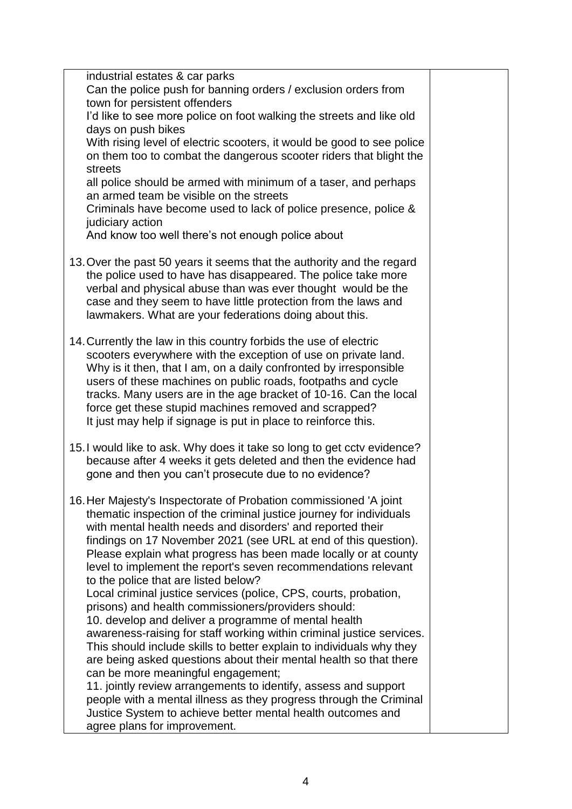| industrial estates & car parks<br>Can the police push for banning orders / exclusion orders from                                              |  |
|-----------------------------------------------------------------------------------------------------------------------------------------------|--|
| town for persistent offenders                                                                                                                 |  |
| I'd like to see more police on foot walking the streets and like old                                                                          |  |
| days on push bikes                                                                                                                            |  |
| With rising level of electric scooters, it would be good to see police                                                                        |  |
| on them too to combat the dangerous scooter riders that blight the                                                                            |  |
| streets                                                                                                                                       |  |
| all police should be armed with minimum of a taser, and perhaps                                                                               |  |
| an armed team be visible on the streets                                                                                                       |  |
| Criminals have become used to lack of police presence, police &                                                                               |  |
| judiciary action                                                                                                                              |  |
| And know too well there's not enough police about                                                                                             |  |
|                                                                                                                                               |  |
| 13. Over the past 50 years it seems that the authority and the regard<br>the police used to have has disappeared. The police take more        |  |
| verbal and physical abuse than was ever thought would be the                                                                                  |  |
| case and they seem to have little protection from the laws and                                                                                |  |
| lawmakers. What are your federations doing about this.                                                                                        |  |
|                                                                                                                                               |  |
| 14. Currently the law in this country forbids the use of electric                                                                             |  |
| scooters everywhere with the exception of use on private land.                                                                                |  |
| Why is it then, that I am, on a daily confronted by irresponsible                                                                             |  |
| users of these machines on public roads, footpaths and cycle                                                                                  |  |
| tracks. Many users are in the age bracket of 10-16. Can the local                                                                             |  |
| force get these stupid machines removed and scrapped?                                                                                         |  |
| It just may help if signage is put in place to reinforce this.                                                                                |  |
| 15. I would like to ask. Why does it take so long to get cctv evidence?                                                                       |  |
| because after 4 weeks it gets deleted and then the evidence had                                                                               |  |
| gone and then you can't prosecute due to no evidence?                                                                                         |  |
|                                                                                                                                               |  |
| 16. Her Majesty's Inspectorate of Probation commissioned 'A joint                                                                             |  |
| thematic inspection of the criminal justice journey for individuals                                                                           |  |
| with mental health needs and disorders' and reported their                                                                                    |  |
| findings on 17 November 2021 (see URL at end of this question).                                                                               |  |
| Please explain what progress has been made locally or at county                                                                               |  |
| level to implement the report's seven recommendations relevant                                                                                |  |
| to the police that are listed below?                                                                                                          |  |
| Local criminal justice services (police, CPS, courts, probation,                                                                              |  |
| prisons) and health commissioners/providers should:                                                                                           |  |
| 10. develop and deliver a programme of mental health                                                                                          |  |
| awareness-raising for staff working within criminal justice services.<br>This should include skills to better explain to individuals why they |  |
| are being asked questions about their mental health so that there                                                                             |  |
| can be more meaningful engagement;                                                                                                            |  |
| 11. jointly review arrangements to identify, assess and support                                                                               |  |
| people with a mental illness as they progress through the Criminal                                                                            |  |
| Justice System to achieve better mental health outcomes and                                                                                   |  |
| agree plans for improvement.                                                                                                                  |  |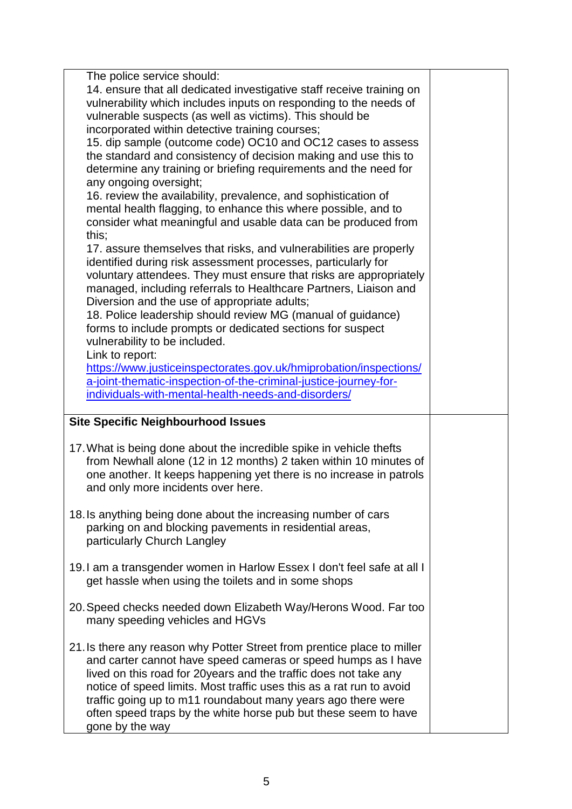| The police service should:<br>14. ensure that all dedicated investigative staff receive training on<br>vulnerability which includes inputs on responding to the needs of<br>vulnerable suspects (as well as victims). This should be<br>incorporated within detective training courses;<br>15. dip sample (outcome code) OC10 and OC12 cases to assess<br>the standard and consistency of decision making and use this to<br>determine any training or briefing requirements and the need for<br>any ongoing oversight;<br>16. review the availability, prevalence, and sophistication of<br>mental health flagging, to enhance this where possible, and to<br>consider what meaningful and usable data can be produced from<br>this;<br>17. assure themselves that risks, and vulnerabilities are properly<br>identified during risk assessment processes, particularly for<br>voluntary attendees. They must ensure that risks are appropriately<br>managed, including referrals to Healthcare Partners, Liaison and<br>Diversion and the use of appropriate adults;<br>18. Police leadership should review MG (manual of guidance)<br>forms to include prompts or dedicated sections for suspect<br>vulnerability to be included. |  |
|--------------------------------------------------------------------------------------------------------------------------------------------------------------------------------------------------------------------------------------------------------------------------------------------------------------------------------------------------------------------------------------------------------------------------------------------------------------------------------------------------------------------------------------------------------------------------------------------------------------------------------------------------------------------------------------------------------------------------------------------------------------------------------------------------------------------------------------------------------------------------------------------------------------------------------------------------------------------------------------------------------------------------------------------------------------------------------------------------------------------------------------------------------------------------------------------------------------------------------------|--|
| Link to report:<br>https://www.justiceinspectorates.gov.uk/hmiprobation/inspections/<br>a-joint-thematic-inspection-of-the-criminal-justice-journey-for-<br>individuals-with-mental-health-needs-and-disorders/                                                                                                                                                                                                                                                                                                                                                                                                                                                                                                                                                                                                                                                                                                                                                                                                                                                                                                                                                                                                                      |  |
| <b>Site Specific Neighbourhood Issues</b>                                                                                                                                                                                                                                                                                                                                                                                                                                                                                                                                                                                                                                                                                                                                                                                                                                                                                                                                                                                                                                                                                                                                                                                            |  |
| 17. What is being done about the incredible spike in vehicle thefts<br>from Newhall alone (12 in 12 months) 2 taken within 10 minutes of<br>one another. It keeps happening yet there is no increase in patrols<br>and only more incidents over here.                                                                                                                                                                                                                                                                                                                                                                                                                                                                                                                                                                                                                                                                                                                                                                                                                                                                                                                                                                                |  |
| 18. Is anything being done about the increasing number of cars<br>parking on and blocking pavements in residential areas,<br>particularly Church Langley                                                                                                                                                                                                                                                                                                                                                                                                                                                                                                                                                                                                                                                                                                                                                                                                                                                                                                                                                                                                                                                                             |  |
| 19. I am a transgender women in Harlow Essex I don't feel safe at all I<br>get hassle when using the toilets and in some shops                                                                                                                                                                                                                                                                                                                                                                                                                                                                                                                                                                                                                                                                                                                                                                                                                                                                                                                                                                                                                                                                                                       |  |
| 20. Speed checks needed down Elizabeth Way/Herons Wood. Far too<br>many speeding vehicles and HGVs                                                                                                                                                                                                                                                                                                                                                                                                                                                                                                                                                                                                                                                                                                                                                                                                                                                                                                                                                                                                                                                                                                                                   |  |
| 21. Is there any reason why Potter Street from prentice place to miller<br>and carter cannot have speed cameras or speed humps as I have<br>lived on this road for 20 years and the traffic does not take any<br>notice of speed limits. Most traffic uses this as a rat run to avoid<br>traffic going up to m11 roundabout many years ago there were<br>often speed traps by the white horse pub but these seem to have                                                                                                                                                                                                                                                                                                                                                                                                                                                                                                                                                                                                                                                                                                                                                                                                             |  |